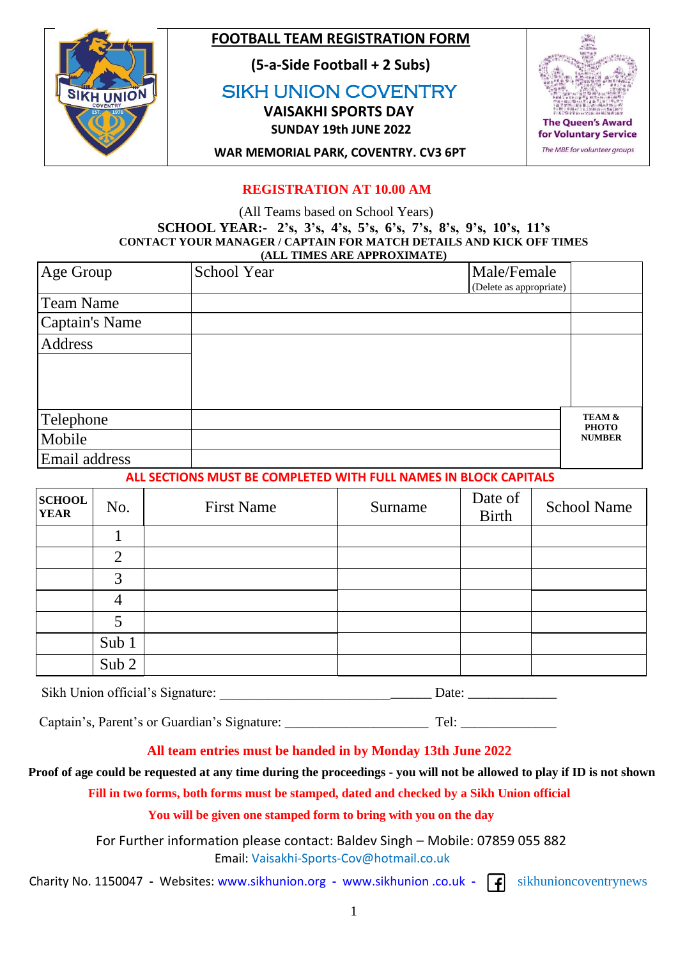

## **FOOTBALL TEAM REGISTRATION FORM**

 **(5-a-Side Football + 2 Subs)**

 SIKH UNION COVENTRY  **VAISAKHI SPORTS DAY**

 **SUNDAY 19th JUNE 2022**



 **WAR MEMORIAL PARK, COVENTRY. CV3 6PT**

## **REGISTRATION AT 10.00 AM**

 (All Teams based on School Years) **SCHOOL YEAR:- 2's, 3's, 4's, 5's, 6's, 7's, 8's, 9's, 10's, 11's CONTACT YOUR MANAGER / CAPTAIN FOR MATCH DETAILS AND KICK OFF TIMES (ALL TIMES ARE APPROXIMATE)**

| Age Group        | School Year | Male/Female             |                                   |
|------------------|-------------|-------------------------|-----------------------------------|
|                  |             | (Delete as appropriate) |                                   |
| <b>Team Name</b> |             |                         |                                   |
| Captain's Name   |             |                         |                                   |
| Address          |             |                         |                                   |
|                  |             |                         |                                   |
|                  |             |                         |                                   |
|                  |             |                         |                                   |
| Telephone        |             |                         | <b>TEAM &amp;</b><br><b>PHOTO</b> |
| Mobile           |             |                         | <b>NUMBER</b>                     |
| Email address    |             |                         |                                   |

 **ALL SECTIONS MUST BE COMPLETED WITH FULL NAMES IN BLOCK CAPITALS** 

| <b>SCHOOL</b><br><b>YEAR</b> | No.              | <b>First Name</b> | Surname | Date of<br><b>Birth</b> | <b>School Name</b> |
|------------------------------|------------------|-------------------|---------|-------------------------|--------------------|
|                              |                  |                   |         |                         |                    |
|                              | $\overline{2}$   |                   |         |                         |                    |
|                              | 3                |                   |         |                         |                    |
|                              | 4                |                   |         |                         |                    |
|                              |                  |                   |         |                         |                    |
|                              | Sub 1            |                   |         |                         |                    |
|                              | Sub <sub>2</sub> |                   |         |                         |                    |

Sikh Union official's Signature: \_\_\_\_\_\_\_\_\_\_\_\_\_\_\_\_\_\_\_\_\_\_\_\_\_\_\_\_\_\_\_ Date: \_\_\_\_\_\_\_\_\_\_\_\_\_

Captain's, Parent's or Guardian's Signature: \_\_\_\_\_\_\_\_\_\_\_\_\_\_\_\_\_\_\_\_\_ Tel: \_\_\_\_\_\_\_\_\_\_\_\_\_\_

## **All team entries must be handed in by Monday 13th June 2022**

### **Proof of age could be requested at any time during the proceedings - you will not be allowed to play if ID is not shown**

 **Fill in two forms, both forms must be stamped, dated and checked by a Sikh Union official**

 **You will be given one stamped form to bring with you on the day**

 For Further information please contact: Baldev Singh – Mobile: 07859 055 882 Email: [Vaisakhi-Sports-Cov@hotmail.co.uk](mailto:VAISAKHI-SPORTS-COV@HOTMAIL.CO.UK)

Charity No. 1150047 **-** Websites: [www.sikhunion.org](http://www.sikhunion.org/) **-** www.sikhunion .co.uk **-** sikhunioncoventrynews